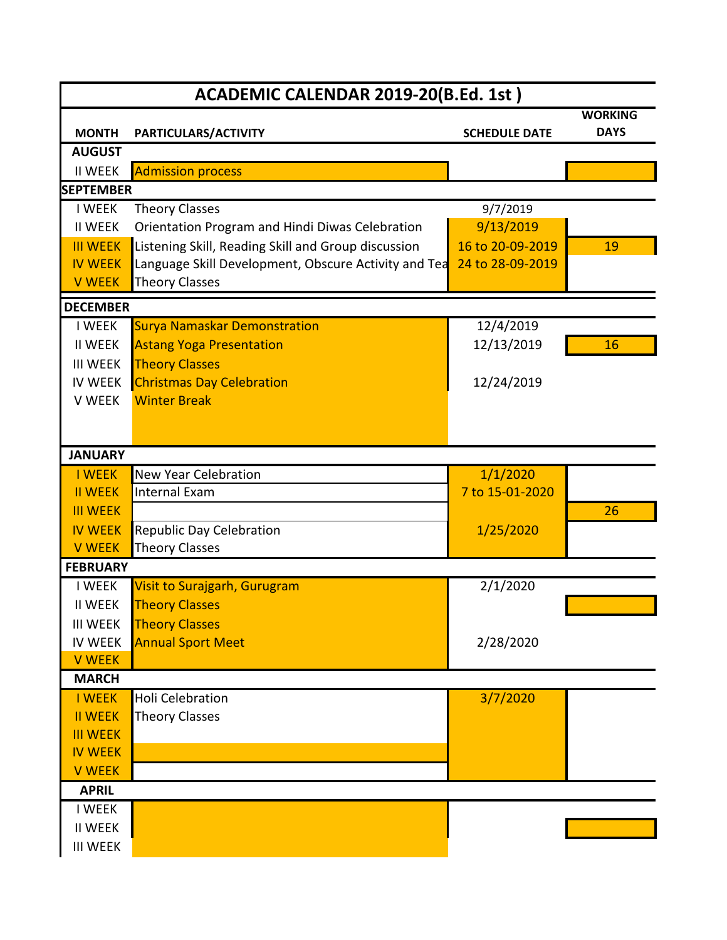| ACADEMIC CALENDAR 2019-20(B.Ed. 1st) |                                                      |                      |                               |
|--------------------------------------|------------------------------------------------------|----------------------|-------------------------------|
| <b>MONTH</b>                         | PARTICULARS/ACTIVITY                                 | <b>SCHEDULE DATE</b> | <b>WORKING</b><br><b>DAYS</b> |
| <b>AUGUST</b>                        |                                                      |                      |                               |
| <b>II WEEK</b>                       | <b>Admission process</b>                             |                      |                               |
| <b>SEPTEMBER</b>                     |                                                      |                      |                               |
| <b>I WEEK</b>                        | <b>Theory Classes</b>                                | 9/7/2019             |                               |
| <b>II WEEK</b>                       | Orientation Program and Hindi Diwas Celebration      | 9/13/2019            |                               |
| <b>III WEEK</b>                      | Listening Skill, Reading Skill and Group discussion  | 16 to 20-09-2019     | 19                            |
| <b>IV WEEK</b>                       | Language Skill Development, Obscure Activity and Tea | 24 to 28-09-2019     |                               |
| <b>V WEEK</b>                        | <b>Theory Classes</b>                                |                      |                               |
| <b>DECEMBER</b>                      |                                                      |                      |                               |
| <b>I WEEK</b>                        | <b>Surya Namaskar Demonstration</b>                  | 12/4/2019            |                               |
| <b>II WEEK</b>                       | <b>Astang Yoga Presentation</b>                      | 12/13/2019           | 16                            |
| <b>III WEEK</b>                      | <b>Theory Classes</b>                                |                      |                               |
| <b>IV WEEK</b>                       | <b>Christmas Day Celebration</b>                     | 12/24/2019           |                               |
| V WEEK                               | <b>Winter Break</b>                                  |                      |                               |
|                                      |                                                      |                      |                               |
|                                      |                                                      |                      |                               |
| <b>JANUARY</b>                       |                                                      |                      |                               |
| <b>I WEEK</b>                        | <b>New Year Celebration</b>                          | 1/1/2020             |                               |
| <b>II WEEK</b>                       | Internal Exam                                        | 7 to 15-01-2020      |                               |
| <b>III WEEK</b>                      |                                                      |                      | 26                            |
| <b>IV WEEK</b>                       | <b>Republic Day Celebration</b>                      | 1/25/2020            |                               |
| <b>V WEEK</b>                        | <b>Theory Classes</b>                                |                      |                               |
| <b>FEBRUARY</b>                      |                                                      |                      |                               |
| <b>I WEEK</b>                        | <b>Visit to Surajgarh, Gurugram</b>                  | 2/1/2020             |                               |
| <b>II WEEK</b>                       | <b>Theory Classes</b>                                |                      |                               |
| <b>III WEEK</b>                      | <b>Theory Classes</b>                                |                      |                               |
| <b>IV WEEK</b>                       | <b>Annual Sport Meet</b>                             | 2/28/2020            |                               |
| <b>V WEEK</b>                        |                                                      |                      |                               |
| <b>MARCH</b>                         |                                                      |                      |                               |
| <b>I WEEK</b>                        | <b>Holi Celebration</b>                              | 3/7/2020             |                               |
| <b>II WEEK</b>                       | <b>Theory Classes</b>                                |                      |                               |
| <b>III WEEK</b>                      |                                                      |                      |                               |
| <b>IV WEEK</b>                       |                                                      |                      |                               |
| <b>V WEEK</b>                        |                                                      |                      |                               |
| <b>APRIL</b>                         |                                                      |                      |                               |
| <b>I WEEK</b>                        |                                                      |                      |                               |
| <b>II WEEK</b>                       |                                                      |                      |                               |
| <b>III WEEK</b>                      |                                                      |                      |                               |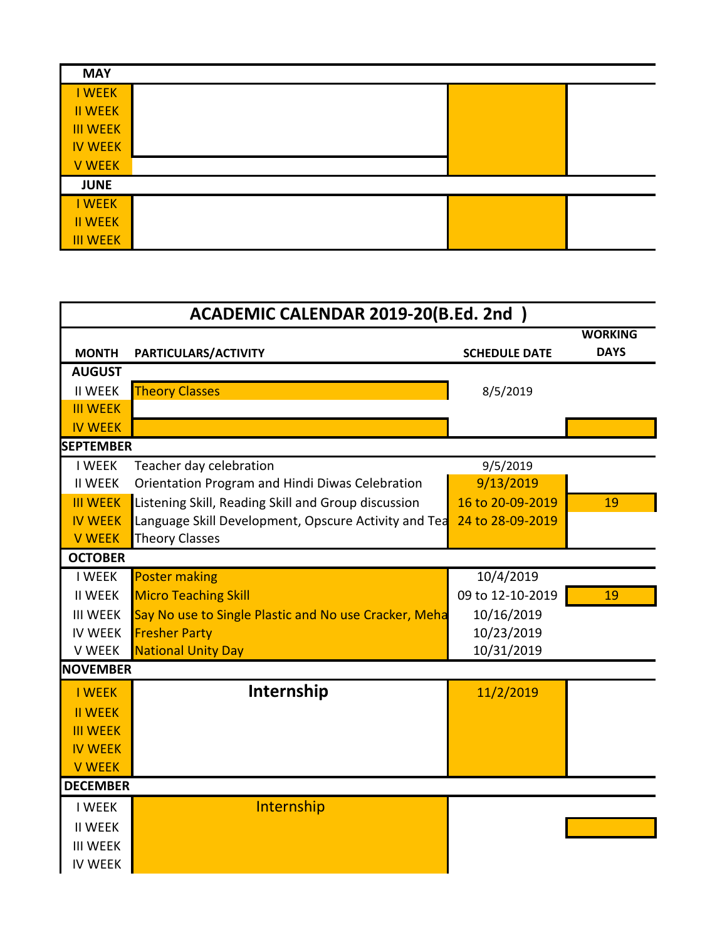| <b>MAY</b>      |  |  |
|-----------------|--|--|
| <b>I WEEK</b>   |  |  |
| <b>II WEEK</b>  |  |  |
| <b>III WEEK</b> |  |  |
| <b>IV WEEK</b>  |  |  |
| <b>V WEEK</b>   |  |  |
| <b>JUNE</b>     |  |  |
| I WEEK          |  |  |
| <b>II WEEK</b>  |  |  |
| <b>III WEEK</b> |  |  |

| ACADEMIC CALENDAR 2019-20(B.Ed. 2nd) |                                                       |                      |                               |
|--------------------------------------|-------------------------------------------------------|----------------------|-------------------------------|
| <b>MONTH</b>                         | PARTICULARS/ACTIVITY                                  | <b>SCHEDULE DATE</b> | <b>WORKING</b><br><b>DAYS</b> |
| <b>AUGUST</b>                        |                                                       |                      |                               |
| <b>II WEEK</b>                       | <b>Theory Classes</b>                                 | 8/5/2019             |                               |
| <b>III WEEK</b>                      |                                                       |                      |                               |
| <b>IV WEEK</b>                       |                                                       |                      |                               |
| <b>SEPTEMBER</b>                     |                                                       |                      |                               |
| <b>I WEEK</b>                        | Teacher day celebration                               | 9/5/2019             |                               |
| <b>II WEEK</b>                       | Orientation Program and Hindi Diwas Celebration       | 9/13/2019            |                               |
| <b>III WEEK</b>                      | Listening Skill, Reading Skill and Group discussion   | 16 to 20-09-2019     | 19                            |
| <b>IV WEEK</b>                       | Language Skill Development, Opscure Activity and Tea  | 24 to 28-09-2019     |                               |
| <b>V WEEK</b>                        | <b>Theory Classes</b>                                 |                      |                               |
| <b>OCTOBER</b>                       |                                                       |                      |                               |
| <b>I WEEK</b>                        | <b>Poster making</b>                                  | 10/4/2019            |                               |
| <b>II WEEK</b>                       | <b>Micro Teaching Skill</b>                           | 09 to 12-10-2019     | 19                            |
| <b>III WEEK</b>                      | Say No use to Single Plastic and No use Cracker, Meha | 10/16/2019           |                               |
| <b>IV WEEK</b>                       | <b>Fresher Party</b>                                  | 10/23/2019           |                               |
| V WEEK                               | <b>National Unity Day</b>                             | 10/31/2019           |                               |
| <b>NOVEMBER</b>                      |                                                       |                      |                               |
| <b>I WEEK</b>                        | Internship                                            | 11/2/2019            |                               |
| <b>II WEEK</b>                       |                                                       |                      |                               |
| <b>III WEEK</b>                      |                                                       |                      |                               |
| <b>IV WEEK</b>                       |                                                       |                      |                               |
| <b>V WEEK</b>                        |                                                       |                      |                               |
| <b>DECEMBER</b>                      |                                                       |                      |                               |
| <b>I WEEK</b>                        | Internship                                            |                      |                               |
| <b>II WEEK</b>                       |                                                       |                      |                               |
| <b>III WEEK</b>                      |                                                       |                      |                               |
| <b>IV WEEK</b>                       |                                                       |                      |                               |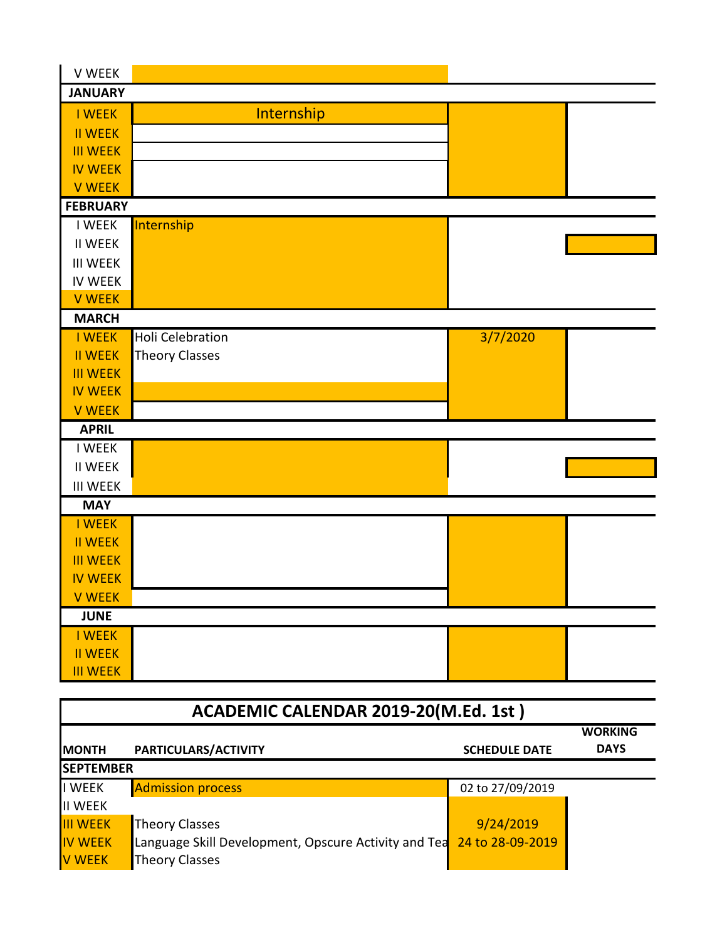| V WEEK                               |                         |                      |                |
|--------------------------------------|-------------------------|----------------------|----------------|
| <b>JANUARY</b>                       |                         |                      |                |
| <b>I WEEK</b>                        | Internship              |                      |                |
| <b>II WEEK</b>                       |                         |                      |                |
| <b>III WEEK</b>                      |                         |                      |                |
| <b>IV WEEK</b>                       |                         |                      |                |
| <b>V WEEK</b>                        |                         |                      |                |
| <b>FEBRUARY</b>                      |                         |                      |                |
| <b>I WEEK</b>                        | Internship              |                      |                |
| <b>II WEEK</b>                       |                         |                      |                |
| <b>III WEEK</b>                      |                         |                      |                |
| <b>IV WEEK</b>                       |                         |                      |                |
| <b>V WEEK</b>                        |                         |                      |                |
| <b>MARCH</b>                         |                         |                      |                |
| <b>I WEEK</b>                        | <b>Holi Celebration</b> | 3/7/2020             |                |
| <b>II WEEK</b>                       | <b>Theory Classes</b>   |                      |                |
| <b>III WEEK</b>                      |                         |                      |                |
| <b>IV WEEK</b>                       |                         |                      |                |
| <b>V WEEK</b><br><b>APRIL</b>        |                         |                      |                |
| <b>I WEEK</b>                        |                         |                      |                |
| <b>II WEEK</b>                       |                         |                      |                |
| <b>III WEEK</b>                      |                         |                      |                |
| <b>MAY</b>                           |                         |                      |                |
| <b>I WEEK</b>                        |                         |                      |                |
| <b>II WEEK</b>                       |                         |                      |                |
| <b>III WEEK</b>                      |                         |                      |                |
| <b>IV WEEK</b>                       |                         |                      |                |
| <b>V WEEK</b>                        |                         |                      |                |
| <b>JUNE</b>                          |                         |                      |                |
| <b>I WEEK</b>                        |                         |                      |                |
| <b>II WEEK</b>                       |                         |                      |                |
| <b>III WEEK</b>                      |                         |                      |                |
|                                      |                         |                      |                |
| ACADEMIC CALENDAR 2019-20(M.Ed. 1st) |                         |                      |                |
|                                      |                         |                      | <b>WORKING</b> |
| <b>MONTH</b>                         | PARTICULARS/ACTIVITY    | <b>SCHEDULE DATE</b> | <b>DAYS</b>    |

| <b>SEPTEMBER</b> |                                                                       |                  |  |
|------------------|-----------------------------------------------------------------------|------------------|--|
| I WEEK           | <b>Admission process</b>                                              | 02 to 27/09/2019 |  |
| <b>II WEEK</b>   |                                                                       |                  |  |
| <b>III WEEK</b>  | Theory Classes                                                        | 9/24/2019        |  |
| <b>IV WEEK</b>   | Language Skill Development, Opscure Activity and Tea 24 to 28-09-2019 |                  |  |
| <b>V WEEK</b>    | Theory Classes                                                        |                  |  |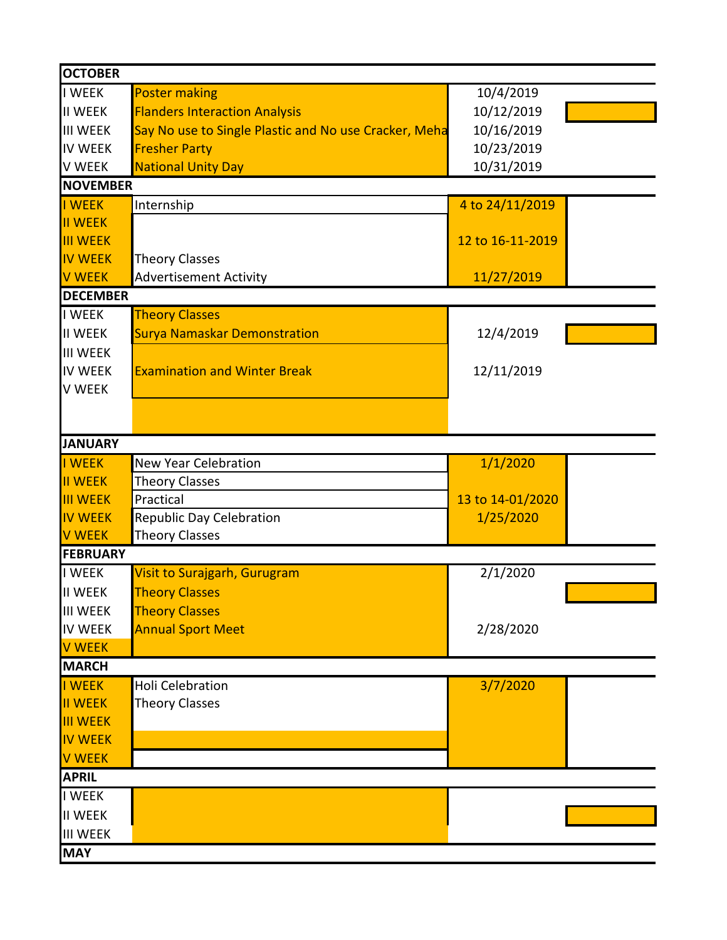| <b>OCTOBER</b>  |                                                       |                  |  |
|-----------------|-------------------------------------------------------|------------------|--|
| <b>I WEEK</b>   | <b>Poster making</b>                                  | 10/4/2019        |  |
| <b>II WEEK</b>  | <b>Flanders Interaction Analysis</b>                  | 10/12/2019       |  |
| <b>III WEEK</b> | Say No use to Single Plastic and No use Cracker, Meha | 10/16/2019       |  |
| <b>IV WEEK</b>  | <b>Fresher Party</b>                                  | 10/23/2019       |  |
| <b>V WEEK</b>   | <b>National Unity Day</b>                             | 10/31/2019       |  |
| <b>NOVEMBER</b> |                                                       |                  |  |
| I WEEK          | Internship                                            | 4 to 24/11/2019  |  |
| <b>II WEEK</b>  |                                                       |                  |  |
| <b>III WEEK</b> |                                                       | 12 to 16-11-2019 |  |
| <b>IV WEEK</b>  | <b>Theory Classes</b>                                 |                  |  |
| <b>V WEEK</b>   | <b>Advertisement Activity</b>                         | 11/27/2019       |  |
| <b>DECEMBER</b> |                                                       |                  |  |
| I WEEK          | <b>Theory Classes</b>                                 |                  |  |
| <b>II WEEK</b>  | <b>Surya Namaskar Demonstration</b>                   | 12/4/2019        |  |
| <b>III WEEK</b> |                                                       |                  |  |
| <b>IV WEEK</b>  | <b>Examination and Winter Break</b>                   | 12/11/2019       |  |
| <b>V WEEK</b>   |                                                       |                  |  |
|                 |                                                       |                  |  |
|                 |                                                       |                  |  |
| <b>JANUARY</b>  |                                                       |                  |  |
| I WEEK          | <b>New Year Celebration</b>                           | 1/1/2020         |  |
| <b>III WEEK</b> | <b>Theory Classes</b>                                 |                  |  |
| <b>III WEEK</b> | Practical                                             | 13 to 14-01/2020 |  |
| <b>IV WEEK</b>  | <b>Republic Day Celebration</b>                       | 1/25/2020        |  |
| <b>V WEEK</b>   | <b>Theory Classes</b>                                 |                  |  |
| <b>FEBRUARY</b> |                                                       |                  |  |
| <b>I WEEK</b>   | Visit to Surajgarh, Gurugram                          | 2/1/2020         |  |
| <b>II WEEK</b>  | <b>Theory Classes</b>                                 |                  |  |
| <b>III WEEK</b> | <b>Theory Classes</b>                                 |                  |  |
| <b>IV WEEK</b>  | <b>Annual Sport Meet</b>                              | 2/28/2020        |  |
| <b>V WEEK</b>   |                                                       |                  |  |
| <b>MARCH</b>    |                                                       |                  |  |
| I WEEK          | <b>Holi Celebration</b>                               | 3/7/2020         |  |
| <b>II WEEK</b>  | <b>Theory Classes</b>                                 |                  |  |
| <b>III WEEK</b> |                                                       |                  |  |
| <b>IV WEEK</b>  |                                                       |                  |  |
| <b>V WEEK</b>   |                                                       |                  |  |
| <b>APRIL</b>    |                                                       |                  |  |
| <b>I WEEK</b>   |                                                       |                  |  |
| <b>II WEEK</b>  |                                                       |                  |  |
| <b>III WEEK</b> |                                                       |                  |  |
| <b>MAY</b>      |                                                       |                  |  |